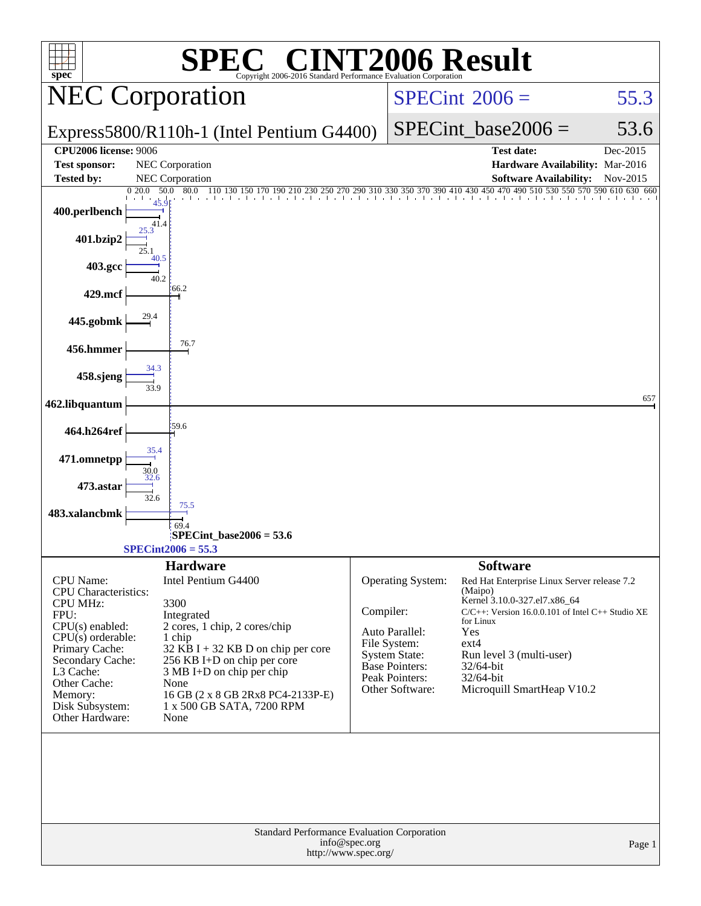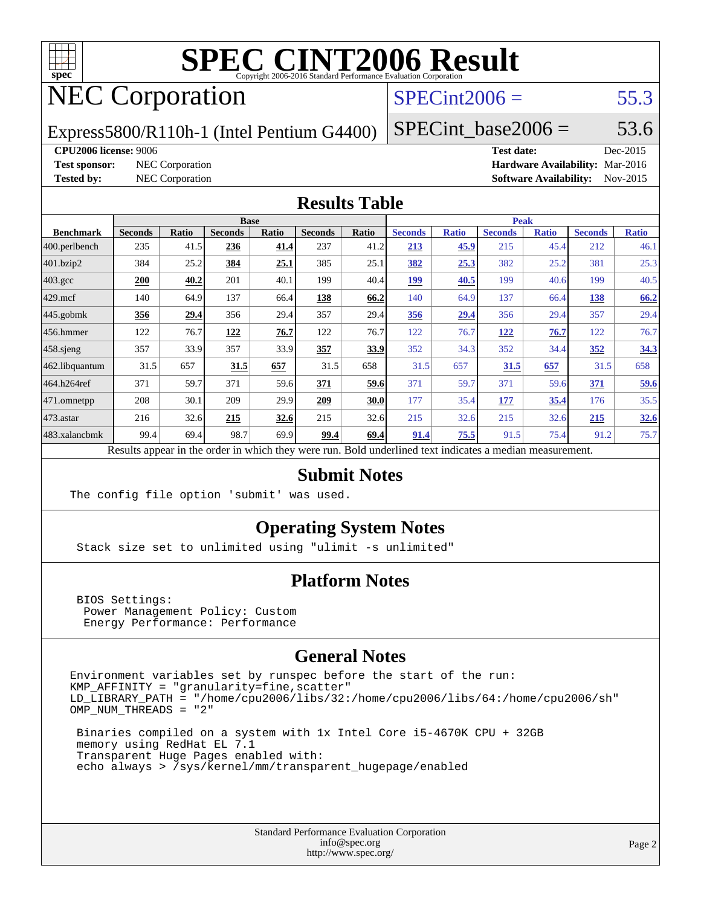

# NEC Corporation

### $SPECint2006 = 55.3$  $SPECint2006 = 55.3$

Express5800/R110h-1 (Intel Pentium G4400)

SPECint base2006 =  $53.6$ 

#### **[CPU2006 license:](http://www.spec.org/auto/cpu2006/Docs/result-fields.html#CPU2006license)** 9006 **[Test date:](http://www.spec.org/auto/cpu2006/Docs/result-fields.html#Testdate)** Dec-2015

**[Test sponsor:](http://www.spec.org/auto/cpu2006/Docs/result-fields.html#Testsponsor)** NEC Corporation **[Hardware Availability:](http://www.spec.org/auto/cpu2006/Docs/result-fields.html#HardwareAvailability)** Mar-2016 **[Tested by:](http://www.spec.org/auto/cpu2006/Docs/result-fields.html#Testedby)** NEC Corporation **[Software Availability:](http://www.spec.org/auto/cpu2006/Docs/result-fields.html#SoftwareAvailability)** Nov-2015

#### **[Results Table](http://www.spec.org/auto/cpu2006/Docs/result-fields.html#ResultsTable)**

|                    | <b>Base</b>                                                                                              |              |                |              |                |              | <b>Peak</b>    |              |                |              |                |              |  |
|--------------------|----------------------------------------------------------------------------------------------------------|--------------|----------------|--------------|----------------|--------------|----------------|--------------|----------------|--------------|----------------|--------------|--|
| <b>Benchmark</b>   | <b>Seconds</b>                                                                                           | <b>Ratio</b> | <b>Seconds</b> | <b>Ratio</b> | <b>Seconds</b> | <b>Ratio</b> | <b>Seconds</b> | <b>Ratio</b> | <b>Seconds</b> | <b>Ratio</b> | <b>Seconds</b> | <b>Ratio</b> |  |
| 400.perlbench      | 235                                                                                                      | 41.5         | 236            | 41.4         | 237            | 41.2         | 213            | 45.9         | 215            | 45.4         | 212            | 46.1         |  |
| 401.bzip2          | 384                                                                                                      | 25.2         | 384            | 25.1         | 385            | 25.1         | 382            | 25.3         | 382            | 25.2         | 381            | 25.3         |  |
| $403.\mathrm{gcc}$ | 200                                                                                                      | 40.2         | 201            | 40.1         | 199            | 40.4         | <u>199</u>     | 40.5         | 199            | 40.6         | 199            | 40.5         |  |
| $429$ .mcf         | 140                                                                                                      | 64.9         | 137            | 66.4         | 138            | 66.2         | 140            | 64.9         | 137            | 66.4         | 138            | 66.2         |  |
| $445$ .gobmk       | 356                                                                                                      | 29.4         | 356            | 29.4         | 357            | 29.4         | 356            | 29.4         | 356            | 29.4         | 357            | 29.4         |  |
| 456.hmmer          | 122                                                                                                      | 76.7         | 122            | 76.7         | 122            | 76.7         | 122            | 76.7         | 122            | 76.7         | 122            | 76.7         |  |
| $458$ .sjeng       | 357                                                                                                      | 33.9         | 357            | 33.9         | 357            | 33.9         | 352            | 34.3         | 352            | 34.4         | 352            | 34.3         |  |
| 462.libquantum     | 31.5                                                                                                     | 657          | 31.5           | 657          | 31.5           | 658          | 31.5           | 657          | 31.5           | 657          | 31.5           | 658          |  |
| 464.h264ref        | 371                                                                                                      | 59.7         | 371            | 59.6         | 371            | 59.6         | 371            | 59.7         | 371            | 59.6         | 371            | 59.6         |  |
| 471.omnetpp        | 208                                                                                                      | 30.1         | 209            | 29.9         | 209            | 30.0         | 177            | 35.4         | 177            | 35.4         | 176            | 35.5         |  |
| $473$ . astar      | 216                                                                                                      | 32.6         | 215            | 32.6         | 215            | 32.6         | 215            | 32.6         | 215            | 32.6         | 215            | 32.6         |  |
| 483.xalancbmk      | 99.4                                                                                                     | 69.4         | 98.7           | 69.9         | 99.4           | 69.4         | 91.4           | 75.5         | 91.5           | 75.4         | 91.2           | 75.7         |  |
|                    | Results appear in the order in which they were run. Bold underlined text indicates a median measurement. |              |                |              |                |              |                |              |                |              |                |              |  |

#### **[Submit Notes](http://www.spec.org/auto/cpu2006/Docs/result-fields.html#SubmitNotes)**

The config file option 'submit' was used.

#### **[Operating System Notes](http://www.spec.org/auto/cpu2006/Docs/result-fields.html#OperatingSystemNotes)**

Stack size set to unlimited using "ulimit -s unlimited"

#### **[Platform Notes](http://www.spec.org/auto/cpu2006/Docs/result-fields.html#PlatformNotes)**

 BIOS Settings: Power Management Policy: Custom Energy Performance: Performance

#### **[General Notes](http://www.spec.org/auto/cpu2006/Docs/result-fields.html#GeneralNotes)**

Environment variables set by runspec before the start of the run:  $KMP_A$ FFINITY = "granularity=fine, scatter" LD\_LIBRARY\_PATH = "/home/cpu2006/libs/32:/home/cpu2006/libs/64:/home/cpu2006/sh" OMP\_NUM\_THREADS = "2"

 Binaries compiled on a system with 1x Intel Core i5-4670K CPU + 32GB memory using RedHat EL 7.1 Transparent Huge Pages enabled with: echo always > /sys/kernel/mm/transparent\_hugepage/enabled

> Standard Performance Evaluation Corporation [info@spec.org](mailto:info@spec.org) <http://www.spec.org/>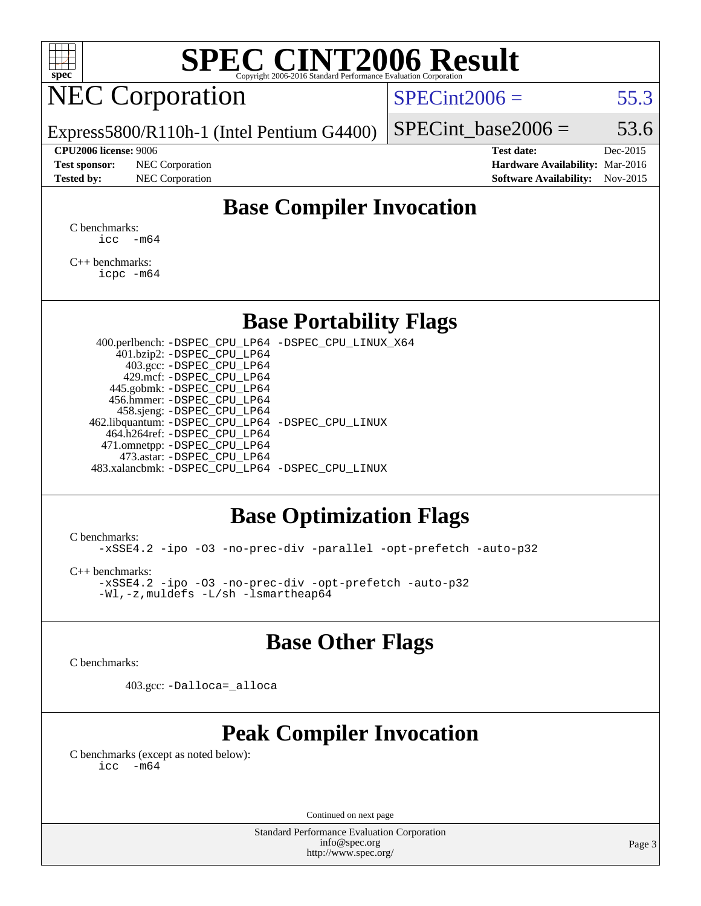

## NEC Corporation

 $SPECint2006 = 55.3$  $SPECint2006 = 55.3$ 

Express5800/R110h-1 (Intel Pentium G4400)

**[Test sponsor:](http://www.spec.org/auto/cpu2006/Docs/result-fields.html#Testsponsor)** NEC Corporation **[Hardware Availability:](http://www.spec.org/auto/cpu2006/Docs/result-fields.html#HardwareAvailability)** Mar-2016 **[Tested by:](http://www.spec.org/auto/cpu2006/Docs/result-fields.html#Testedby)** NEC Corporation **[Software Availability:](http://www.spec.org/auto/cpu2006/Docs/result-fields.html#SoftwareAvailability)** Nov-2015

SPECint base2006 =  $53.6$ **[CPU2006 license:](http://www.spec.org/auto/cpu2006/Docs/result-fields.html#CPU2006license)** 9006 **[Test date:](http://www.spec.org/auto/cpu2006/Docs/result-fields.html#Testdate)** Dec-2015

#### **[Base Compiler Invocation](http://www.spec.org/auto/cpu2006/Docs/result-fields.html#BaseCompilerInvocation)**

[C benchmarks](http://www.spec.org/auto/cpu2006/Docs/result-fields.html#Cbenchmarks):  $\text{icc}$   $-\text{m64}$ 

[C++ benchmarks:](http://www.spec.org/auto/cpu2006/Docs/result-fields.html#CXXbenchmarks) [icpc -m64](http://www.spec.org/cpu2006/results/res2016q1/cpu2006-20160125-38815.flags.html#user_CXXbase_intel_icpc_64bit_fc66a5337ce925472a5c54ad6a0de310)

#### **[Base Portability Flags](http://www.spec.org/auto/cpu2006/Docs/result-fields.html#BasePortabilityFlags)**

 400.perlbench: [-DSPEC\\_CPU\\_LP64](http://www.spec.org/cpu2006/results/res2016q1/cpu2006-20160125-38815.flags.html#b400.perlbench_basePORTABILITY_DSPEC_CPU_LP64) [-DSPEC\\_CPU\\_LINUX\\_X64](http://www.spec.org/cpu2006/results/res2016q1/cpu2006-20160125-38815.flags.html#b400.perlbench_baseCPORTABILITY_DSPEC_CPU_LINUX_X64) 401.bzip2: [-DSPEC\\_CPU\\_LP64](http://www.spec.org/cpu2006/results/res2016q1/cpu2006-20160125-38815.flags.html#suite_basePORTABILITY401_bzip2_DSPEC_CPU_LP64) 403.gcc: [-DSPEC\\_CPU\\_LP64](http://www.spec.org/cpu2006/results/res2016q1/cpu2006-20160125-38815.flags.html#suite_basePORTABILITY403_gcc_DSPEC_CPU_LP64) 429.mcf: [-DSPEC\\_CPU\\_LP64](http://www.spec.org/cpu2006/results/res2016q1/cpu2006-20160125-38815.flags.html#suite_basePORTABILITY429_mcf_DSPEC_CPU_LP64) 445.gobmk: [-DSPEC\\_CPU\\_LP64](http://www.spec.org/cpu2006/results/res2016q1/cpu2006-20160125-38815.flags.html#suite_basePORTABILITY445_gobmk_DSPEC_CPU_LP64) 456.hmmer: [-DSPEC\\_CPU\\_LP64](http://www.spec.org/cpu2006/results/res2016q1/cpu2006-20160125-38815.flags.html#suite_basePORTABILITY456_hmmer_DSPEC_CPU_LP64) 458.sjeng: [-DSPEC\\_CPU\\_LP64](http://www.spec.org/cpu2006/results/res2016q1/cpu2006-20160125-38815.flags.html#suite_basePORTABILITY458_sjeng_DSPEC_CPU_LP64) 462.libquantum: [-DSPEC\\_CPU\\_LP64](http://www.spec.org/cpu2006/results/res2016q1/cpu2006-20160125-38815.flags.html#suite_basePORTABILITY462_libquantum_DSPEC_CPU_LP64) [-DSPEC\\_CPU\\_LINUX](http://www.spec.org/cpu2006/results/res2016q1/cpu2006-20160125-38815.flags.html#b462.libquantum_baseCPORTABILITY_DSPEC_CPU_LINUX) 464.h264ref: [-DSPEC\\_CPU\\_LP64](http://www.spec.org/cpu2006/results/res2016q1/cpu2006-20160125-38815.flags.html#suite_basePORTABILITY464_h264ref_DSPEC_CPU_LP64) 471.omnetpp: [-DSPEC\\_CPU\\_LP64](http://www.spec.org/cpu2006/results/res2016q1/cpu2006-20160125-38815.flags.html#suite_basePORTABILITY471_omnetpp_DSPEC_CPU_LP64) 473.astar: [-DSPEC\\_CPU\\_LP64](http://www.spec.org/cpu2006/results/res2016q1/cpu2006-20160125-38815.flags.html#suite_basePORTABILITY473_astar_DSPEC_CPU_LP64) 483.xalancbmk: [-DSPEC\\_CPU\\_LP64](http://www.spec.org/cpu2006/results/res2016q1/cpu2006-20160125-38815.flags.html#suite_basePORTABILITY483_xalancbmk_DSPEC_CPU_LP64) [-DSPEC\\_CPU\\_LINUX](http://www.spec.org/cpu2006/results/res2016q1/cpu2006-20160125-38815.flags.html#b483.xalancbmk_baseCXXPORTABILITY_DSPEC_CPU_LINUX)

#### **[Base Optimization Flags](http://www.spec.org/auto/cpu2006/Docs/result-fields.html#BaseOptimizationFlags)**

[C benchmarks](http://www.spec.org/auto/cpu2006/Docs/result-fields.html#Cbenchmarks):

[-xSSE4.2](http://www.spec.org/cpu2006/results/res2016q1/cpu2006-20160125-38815.flags.html#user_CCbase_f-xSSE42_f91528193cf0b216347adb8b939d4107) [-ipo](http://www.spec.org/cpu2006/results/res2016q1/cpu2006-20160125-38815.flags.html#user_CCbase_f-ipo) [-O3](http://www.spec.org/cpu2006/results/res2016q1/cpu2006-20160125-38815.flags.html#user_CCbase_f-O3) [-no-prec-div](http://www.spec.org/cpu2006/results/res2016q1/cpu2006-20160125-38815.flags.html#user_CCbase_f-no-prec-div) [-parallel](http://www.spec.org/cpu2006/results/res2016q1/cpu2006-20160125-38815.flags.html#user_CCbase_f-parallel) [-opt-prefetch](http://www.spec.org/cpu2006/results/res2016q1/cpu2006-20160125-38815.flags.html#user_CCbase_f-opt-prefetch) [-auto-p32](http://www.spec.org/cpu2006/results/res2016q1/cpu2006-20160125-38815.flags.html#user_CCbase_f-auto-p32)

[C++ benchmarks:](http://www.spec.org/auto/cpu2006/Docs/result-fields.html#CXXbenchmarks)

[-xSSE4.2](http://www.spec.org/cpu2006/results/res2016q1/cpu2006-20160125-38815.flags.html#user_CXXbase_f-xSSE42_f91528193cf0b216347adb8b939d4107) [-ipo](http://www.spec.org/cpu2006/results/res2016q1/cpu2006-20160125-38815.flags.html#user_CXXbase_f-ipo) [-O3](http://www.spec.org/cpu2006/results/res2016q1/cpu2006-20160125-38815.flags.html#user_CXXbase_f-O3) [-no-prec-div](http://www.spec.org/cpu2006/results/res2016q1/cpu2006-20160125-38815.flags.html#user_CXXbase_f-no-prec-div) [-opt-prefetch](http://www.spec.org/cpu2006/results/res2016q1/cpu2006-20160125-38815.flags.html#user_CXXbase_f-opt-prefetch) [-auto-p32](http://www.spec.org/cpu2006/results/res2016q1/cpu2006-20160125-38815.flags.html#user_CXXbase_f-auto-p32) [-Wl,-z,muldefs](http://www.spec.org/cpu2006/results/res2016q1/cpu2006-20160125-38815.flags.html#user_CXXbase_link_force_multiple1_74079c344b956b9658436fd1b6dd3a8a) [-L/sh -lsmartheap64](http://www.spec.org/cpu2006/results/res2016q1/cpu2006-20160125-38815.flags.html#user_CXXbase_SmartHeap64_ed4ef857ce90951921efb0d91eb88472)

#### **[Base Other Flags](http://www.spec.org/auto/cpu2006/Docs/result-fields.html#BaseOtherFlags)**

[C benchmarks](http://www.spec.org/auto/cpu2006/Docs/result-fields.html#Cbenchmarks):

403.gcc: [-Dalloca=\\_alloca](http://www.spec.org/cpu2006/results/res2016q1/cpu2006-20160125-38815.flags.html#b403.gcc_baseEXTRA_CFLAGS_Dalloca_be3056838c12de2578596ca5467af7f3)

### **[Peak Compiler Invocation](http://www.spec.org/auto/cpu2006/Docs/result-fields.html#PeakCompilerInvocation)**

[C benchmarks \(except as noted below\)](http://www.spec.org/auto/cpu2006/Docs/result-fields.html#Cbenchmarksexceptasnotedbelow):  $\text{icc}$  -m64

Continued on next page

Standard Performance Evaluation Corporation [info@spec.org](mailto:info@spec.org) <http://www.spec.org/>

Page 3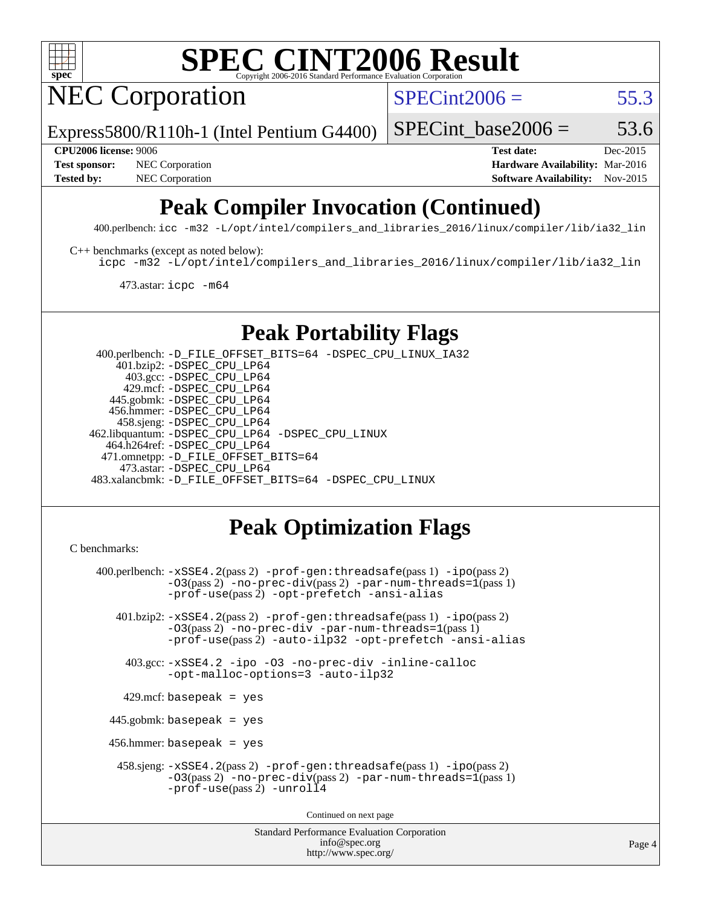

NEC Corporation

 $SPECint2006 = 55.3$  $SPECint2006 = 55.3$ 

Express5800/R110h-1 (Intel Pentium G4400)

SPECint base2006 =  $53.6$ 

**[Test sponsor:](http://www.spec.org/auto/cpu2006/Docs/result-fields.html#Testsponsor)** NEC Corporation **NEC Corporation [Hardware Availability:](http://www.spec.org/auto/cpu2006/Docs/result-fields.html#HardwareAvailability)** Mar-2016

**[CPU2006 license:](http://www.spec.org/auto/cpu2006/Docs/result-fields.html#CPU2006license)** 9006 **[Test date:](http://www.spec.org/auto/cpu2006/Docs/result-fields.html#Testdate)** Dec-2015 [Tested by:](http://www.spec.org/auto/cpu2006/Docs/result-fields.html#Testedby) NEC Corporation **[Software Availability:](http://www.spec.org/auto/cpu2006/Docs/result-fields.html#SoftwareAvailability)** Nov-2015

### **[Peak Compiler Invocation \(Continued\)](http://www.spec.org/auto/cpu2006/Docs/result-fields.html#PeakCompilerInvocation)**

400.perlbench: [icc -m32 -L/opt/intel/compilers\\_and\\_libraries\\_2016/linux/compiler/lib/ia32\\_lin](http://www.spec.org/cpu2006/results/res2016q1/cpu2006-20160125-38815.flags.html#user_peakCCLD400_perlbench_intel_icc_e10256ba5924b668798078a321b0cb3f)

[C++ benchmarks \(except as noted below\):](http://www.spec.org/auto/cpu2006/Docs/result-fields.html#CXXbenchmarksexceptasnotedbelow)

[icpc -m32 -L/opt/intel/compilers\\_and\\_libraries\\_2016/linux/compiler/lib/ia32\\_lin](http://www.spec.org/cpu2006/results/res2016q1/cpu2006-20160125-38815.flags.html#user_CXXpeak_intel_icpc_b4f50a394bdb4597aa5879c16bc3f5c5)

473.astar: [icpc -m64](http://www.spec.org/cpu2006/results/res2016q1/cpu2006-20160125-38815.flags.html#user_peakCXXLD473_astar_intel_icpc_64bit_fc66a5337ce925472a5c54ad6a0de310)

### **[Peak Portability Flags](http://www.spec.org/auto/cpu2006/Docs/result-fields.html#PeakPortabilityFlags)**

 400.perlbench: [-D\\_FILE\\_OFFSET\\_BITS=64](http://www.spec.org/cpu2006/results/res2016q1/cpu2006-20160125-38815.flags.html#user_peakPORTABILITY400_perlbench_file_offset_bits_64_438cf9856305ebd76870a2c6dc2689ab) [-DSPEC\\_CPU\\_LINUX\\_IA32](http://www.spec.org/cpu2006/results/res2016q1/cpu2006-20160125-38815.flags.html#b400.perlbench_peakCPORTABILITY_DSPEC_CPU_LINUX_IA32) 401.bzip2: [-DSPEC\\_CPU\\_LP64](http://www.spec.org/cpu2006/results/res2016q1/cpu2006-20160125-38815.flags.html#suite_peakPORTABILITY401_bzip2_DSPEC_CPU_LP64) 403.gcc: [-DSPEC\\_CPU\\_LP64](http://www.spec.org/cpu2006/results/res2016q1/cpu2006-20160125-38815.flags.html#suite_peakPORTABILITY403_gcc_DSPEC_CPU_LP64) 429.mcf: [-DSPEC\\_CPU\\_LP64](http://www.spec.org/cpu2006/results/res2016q1/cpu2006-20160125-38815.flags.html#suite_peakPORTABILITY429_mcf_DSPEC_CPU_LP64) 445.gobmk: [-DSPEC\\_CPU\\_LP64](http://www.spec.org/cpu2006/results/res2016q1/cpu2006-20160125-38815.flags.html#suite_peakPORTABILITY445_gobmk_DSPEC_CPU_LP64) 456.hmmer: [-DSPEC\\_CPU\\_LP64](http://www.spec.org/cpu2006/results/res2016q1/cpu2006-20160125-38815.flags.html#suite_peakPORTABILITY456_hmmer_DSPEC_CPU_LP64) 458.sjeng: [-DSPEC\\_CPU\\_LP64](http://www.spec.org/cpu2006/results/res2016q1/cpu2006-20160125-38815.flags.html#suite_peakPORTABILITY458_sjeng_DSPEC_CPU_LP64) 462.libquantum: [-DSPEC\\_CPU\\_LP64](http://www.spec.org/cpu2006/results/res2016q1/cpu2006-20160125-38815.flags.html#suite_peakPORTABILITY462_libquantum_DSPEC_CPU_LP64) [-DSPEC\\_CPU\\_LINUX](http://www.spec.org/cpu2006/results/res2016q1/cpu2006-20160125-38815.flags.html#b462.libquantum_peakCPORTABILITY_DSPEC_CPU_LINUX) 464.h264ref: [-DSPEC\\_CPU\\_LP64](http://www.spec.org/cpu2006/results/res2016q1/cpu2006-20160125-38815.flags.html#suite_peakPORTABILITY464_h264ref_DSPEC_CPU_LP64) 471.omnetpp: [-D\\_FILE\\_OFFSET\\_BITS=64](http://www.spec.org/cpu2006/results/res2016q1/cpu2006-20160125-38815.flags.html#user_peakPORTABILITY471_omnetpp_file_offset_bits_64_438cf9856305ebd76870a2c6dc2689ab) 473.astar: [-DSPEC\\_CPU\\_LP64](http://www.spec.org/cpu2006/results/res2016q1/cpu2006-20160125-38815.flags.html#suite_peakPORTABILITY473_astar_DSPEC_CPU_LP64) 483.xalancbmk: [-D\\_FILE\\_OFFSET\\_BITS=64](http://www.spec.org/cpu2006/results/res2016q1/cpu2006-20160125-38815.flags.html#user_peakPORTABILITY483_xalancbmk_file_offset_bits_64_438cf9856305ebd76870a2c6dc2689ab) [-DSPEC\\_CPU\\_LINUX](http://www.spec.org/cpu2006/results/res2016q1/cpu2006-20160125-38815.flags.html#b483.xalancbmk_peakCXXPORTABILITY_DSPEC_CPU_LINUX)

### **[Peak Optimization Flags](http://www.spec.org/auto/cpu2006/Docs/result-fields.html#PeakOptimizationFlags)**

<http://www.spec.org/>

```
Standard Performance Evaluation Corporation
                                          info@spec.org
C benchmarks: 
     400.perlbench: -xSSE4.2(pass 2) -prof-gen:threadsafe(pass 1) -ipo(pass 2)
                -03(pass 2)-no-prec-div-par-num-threads=1(pass 1)
                -prof-use(pass 2) -opt-prefetch -ansi-alias
        401.bzip2: -xSSE4.2(pass 2) -prof-gen:threadsafe(pass 1) -ipo(pass 2)
                -O3(pass 2) -no-prec-div -par-num-threads=1(pass 1)
                -prof-use(pass 2) -auto-ilp32 -opt-prefetch -ansi-alias
          403.gcc: -xSSE4.2 -ipo -O3 -no-prec-div -inline-calloc
                -opt-malloc-options=3 -auto-ilp32
         429.mcf: basepeak = yes
       445.gobmk: basepeak = yes
       456.hmmer: basepeak = yes
         458.sjeng: -xSSE4.2(pass 2) -prof-gen:threadsafe(pass 1) -ipo(pass 2)
                -O3(pass 2) -no-prec-div(pass 2) -par-num-threads=1(pass 1)
                -prof-use(pass 2) -unroll4
                                        Continued on next page
```